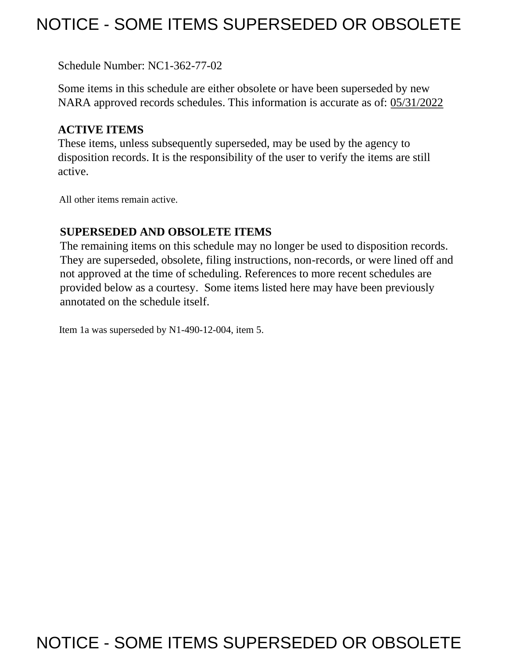## NOTICE - SOME ITEMS SUPERSEDED OR OBSOLETE

Schedule Number: NC1-362-77-02

 Some items in this schedule are either obsolete or have been superseded by new NARA approved records schedules. This information is accurate as of: 05/31/2022

## **ACTIVE ITEMS**

 These items, unless subsequently superseded, may be used by the agency to disposition records. It is the responsibility of the user to verify the items are still active.

All other items remain active.

## **SUPERSEDED AND OBSOLETE ITEMS**

 The remaining items on this schedule may no longer be used to disposition records. not approved at the time of scheduling. References to more recent schedules are provided below as a courtesy. Some items listed here may have been previously They are superseded, obsolete, filing instructions, non-records, or were lined off and annotated on the schedule itself.

Item 1a was superseded by N1-490-12-004, item 5.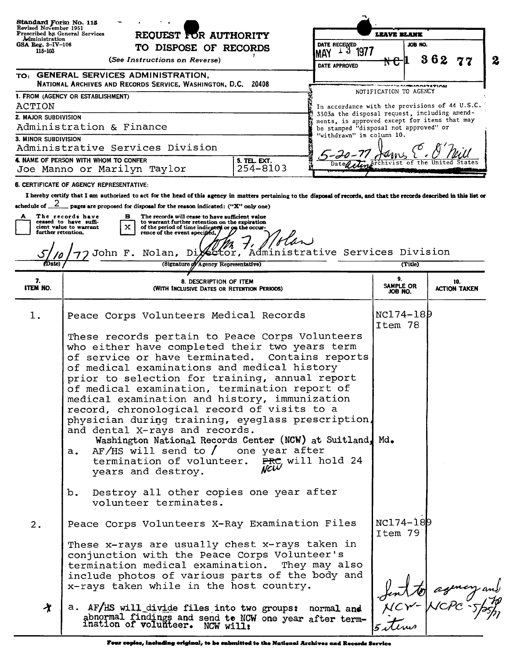| Standard Form No. 115<br>Revised November 1951<br>Prescribed by General Services<br>Aministration<br>$GSA$ Reg. $3$ -IV-106<br>115-103 | REQUEST FOR AUTHORITY<br>TO DISPOSE OF RECORDS                                                                                                                                                                                                                                                                                                                                                                                                                                                                                                                                                                                                                        | DATE RECEIVED<br>1977<br>⊥ ວ<br><b>MAY</b>                                                     | LEAVE BLANK<br>JOB NO.                                                                |                            |
|----------------------------------------------------------------------------------------------------------------------------------------|-----------------------------------------------------------------------------------------------------------------------------------------------------------------------------------------------------------------------------------------------------------------------------------------------------------------------------------------------------------------------------------------------------------------------------------------------------------------------------------------------------------------------------------------------------------------------------------------------------------------------------------------------------------------------|------------------------------------------------------------------------------------------------|---------------------------------------------------------------------------------------|----------------------------|
|                                                                                                                                        | (See Instructions on Reverse)                                                                                                                                                                                                                                                                                                                                                                                                                                                                                                                                                                                                                                         | DATE APPROVED                                                                                  | ₦€µ                                                                                   | 362<br>$\boldsymbol{2}$    |
|                                                                                                                                        | TO: GENERAL SERVICES ADMINISTRATION,<br>NATIONAL ARCHIVES AND RECORDS SERVICE, WASHINGTON, D.C. 20408                                                                                                                                                                                                                                                                                                                                                                                                                                                                                                                                                                 |                                                                                                | <b>SALERADITION</b>                                                                   |                            |
|                                                                                                                                        | 1. FROM (AGENCY OR ESTABLISHMENT)                                                                                                                                                                                                                                                                                                                                                                                                                                                                                                                                                                                                                                     |                                                                                                | NOTIFICATION TO AGENCY                                                                |                            |
| ACTION<br>2. MAJOR SUBDIVISION                                                                                                         |                                                                                                                                                                                                                                                                                                                                                                                                                                                                                                                                                                                                                                                                       | In accordance with the provisions of 44 U.S.C.<br>3303a the disposal request, including amend- |                                                                                       |                            |
| Administration & Finance                                                                                                               |                                                                                                                                                                                                                                                                                                                                                                                                                                                                                                                                                                                                                                                                       |                                                                                                | ments, is approved except for items that may<br>be stamped "disposal not approved" or |                            |
| 3. MINOR SUBDIVISION                                                                                                                   | Administrative Services Division                                                                                                                                                                                                                                                                                                                                                                                                                                                                                                                                                                                                                                      | "withdrawn" in column 10.                                                                      |                                                                                       |                            |
|                                                                                                                                        | 4. NAME OF PERSON WITH WHOM TO CONFER<br>5. TEL. EXT.                                                                                                                                                                                                                                                                                                                                                                                                                                                                                                                                                                                                                 |                                                                                                |                                                                                       |                            |
|                                                                                                                                        | 254-8103<br>Joe Manno or Marilyn Taylor                                                                                                                                                                                                                                                                                                                                                                                                                                                                                                                                                                                                                               |                                                                                                |                                                                                       |                            |
|                                                                                                                                        | <b>6. CERTIFICATE OF AGENCY REPRESENTATIVE:</b>                                                                                                                                                                                                                                                                                                                                                                                                                                                                                                                                                                                                                       |                                                                                                |                                                                                       |                            |
|                                                                                                                                        | I hereby certify that I am authorized to act for the head of this agency in matters pertaining to the disposal of records, and that the records described in this list or                                                                                                                                                                                                                                                                                                                                                                                                                                                                                             |                                                                                                |                                                                                       |                            |
| A<br>further retention,                                                                                                                | schedule of $\frac{2}{2}$ pages are proposed for disposal for the reason indicated: ("X" only one)<br>The records have<br>The records will cease to have sufficient value<br>в<br>ceased to have suffi-<br>to warrant further retention on the expiration<br>x<br>of the period of time indicated or on the occur-<br>cient value to warrant<br>rence of the event specified.<br>the<br>John F. Nolan, Dixector, Administrative Services Division                                                                                                                                                                                                                     |                                                                                                |                                                                                       |                            |
| (Date)                                                                                                                                 | (Signature of Agency Representative)                                                                                                                                                                                                                                                                                                                                                                                                                                                                                                                                                                                                                                  |                                                                                                | (Title)                                                                               |                            |
| 7.<br><b>ITEM NO.</b>                                                                                                                  | 8. DESCRIPTION OF ITEM<br>(WITH INCLUSIVE DATES OR RETENTION PERIODS)                                                                                                                                                                                                                                                                                                                                                                                                                                                                                                                                                                                                 |                                                                                                | 9.<br>SAMPLE OR<br>JOB NO.                                                            | 10.<br><b>ACTION TAKEN</b> |
| 1.                                                                                                                                     | Peace Corps Volunteers Medical Records                                                                                                                                                                                                                                                                                                                                                                                                                                                                                                                                                                                                                                |                                                                                                | NC174-189<br>Item 78                                                                  |                            |
|                                                                                                                                        | These records pertain to Peace Corps Volunteers<br>who either have completed their two years term<br>of service or have terminated. Contains reports<br>of medical examinations and medical history<br>prior to selection for training, annual report<br>of medical examination, termination report of<br>medical examination and history, immunization<br>record, chronological record of visits to a<br>physician during training, eyeglass prescription,<br>and dental X-rays and records.<br>Washington National Records Center (NCW) at Suitland, Md.<br>$AF/HS$ will send to $/$ one year after<br>а.<br>termination of volunteer.<br>NCW<br>years and destroy. | FRC, will hold 24                                                                              |                                                                                       |                            |
|                                                                                                                                        | Destroy all other copies one year after<br>b.<br>volunteer terminates.                                                                                                                                                                                                                                                                                                                                                                                                                                                                                                                                                                                                |                                                                                                |                                                                                       |                            |
| 2.                                                                                                                                     | Peace Corps Volunteers X-Ray Examination Files                                                                                                                                                                                                                                                                                                                                                                                                                                                                                                                                                                                                                        |                                                                                                | NC174-189                                                                             |                            |
|                                                                                                                                        | These x-rays are usually chest x-rays taken in<br>conjunction with the Peace Corps Volunteer's<br>termination medical examination.<br>include photos of various parts of the body and<br>x-rays taken while in the host country.                                                                                                                                                                                                                                                                                                                                                                                                                                      | They may also                                                                                  | Item 79                                                                               |                            |
| 光                                                                                                                                      | sing will divide files into two groups: normal and <i>Hent to agency and</i><br>abnormal findings and send to NCW one year after term-<br>ination of volunteer. NCW will:<br>a. AF/HS will divide files into two groups: normal and                                                                                                                                                                                                                                                                                                                                                                                                                                   |                                                                                                |                                                                                       |                            |